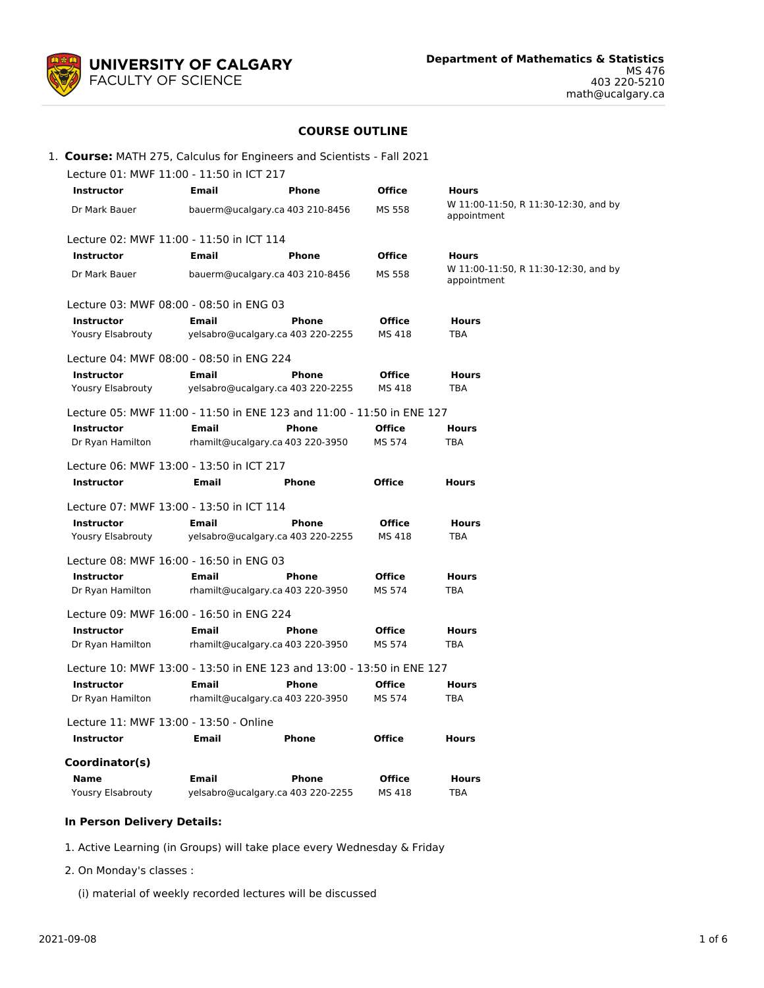

# **COURSE OUTLINE**

|  |  | 1. Course: MATH 275, Calculus for Engineers and Scientists - Fall 2021 |  |
|--|--|------------------------------------------------------------------------|--|
|  |  |                                                                        |  |

| Lecture 01: MWF 11:00 - 11:50 in ICT 217                              |                                                                       |                                                  |                         |                                                     |  |  |  |
|-----------------------------------------------------------------------|-----------------------------------------------------------------------|--------------------------------------------------|-------------------------|-----------------------------------------------------|--|--|--|
| <b>Instructor</b>                                                     | <b>Email</b>                                                          | <b>Phone</b>                                     | <b>Office</b>           | <b>Hours</b>                                        |  |  |  |
| Dr Mark Bauer                                                         |                                                                       | bauerm@ucalgary.ca 403 210-8456                  | MS 558                  | W 11:00-11:50, R 11:30-12:30, and by<br>appointment |  |  |  |
| Lecture 02: MWF 11:00 - 11:50 in ICT 114                              |                                                                       |                                                  |                         |                                                     |  |  |  |
| <b>Instructor</b>                                                     | Email                                                                 | <b>Phone</b>                                     | <b>Office</b>           | <b>Hours</b>                                        |  |  |  |
| Dr Mark Bauer                                                         |                                                                       | bauerm@ucalgary.ca 403 210-8456                  | MS 558                  | W 11:00-11:50, R 11:30-12:30, and by<br>appointment |  |  |  |
| Lecture 03: MWF 08:00 - 08:50 in ENG 03                               |                                                                       |                                                  |                         |                                                     |  |  |  |
| <b>Instructor</b>                                                     | <b>Email</b>                                                          | <b>Phone</b>                                     | <b>Office</b>           | <b>Hours</b>                                        |  |  |  |
| <b>Yousry Elsabrouty</b>                                              |                                                                       | yelsabro@ucalgary.ca 403 220-2255                | MS 418                  | TBA                                                 |  |  |  |
| Lecture 04: MWF 08:00 - 08:50 in ENG 224                              |                                                                       |                                                  |                         |                                                     |  |  |  |
| <b>Instructor</b>                                                     | <b>Email</b>                                                          | <b>Phone</b>                                     | <b>Office</b>           | <b>Hours</b>                                        |  |  |  |
| Yousry Elsabrouty                                                     |                                                                       | yelsabro@ucalgary.ca 403 220-2255                | MS 418                  | <b>TBA</b>                                          |  |  |  |
|                                                                       | Lecture 05: MWF 11:00 - 11:50 in ENE 123 and 11:00 - 11:50 in ENE 127 |                                                  |                         |                                                     |  |  |  |
| <b>Instructor</b>                                                     | <b>Email</b>                                                          | <b>Phone</b>                                     | <b>Office</b>           | <b>Hours</b>                                        |  |  |  |
| Dr Ryan Hamilton                                                      |                                                                       | rhamilt@ucalgary.ca 403 220-3950                 | MS 574                  | TBA                                                 |  |  |  |
| Lecture 06: MWF 13:00 - 13:50 in ICT 217                              |                                                                       |                                                  |                         |                                                     |  |  |  |
| <b>Instructor</b>                                                     | Email                                                                 | <b>Phone</b>                                     | <b>Office</b>           | <b>Hours</b>                                        |  |  |  |
|                                                                       |                                                                       |                                                  |                         |                                                     |  |  |  |
| Lecture 07: MWF 13:00 - 13:50 in ICT 114                              | <b>Email</b>                                                          | <b>Phone</b>                                     | <b>Office</b>           | <b>Hours</b>                                        |  |  |  |
| <b>Instructor</b><br>Yousry Elsabrouty                                |                                                                       | yelsabro@ucalgary.ca 403 220-2255                | MS 418                  | <b>TBA</b>                                          |  |  |  |
|                                                                       |                                                                       |                                                  |                         |                                                     |  |  |  |
| Lecture 08: MWF 16:00 - 16:50 in ENG 03                               |                                                                       |                                                  |                         |                                                     |  |  |  |
| <b>Instructor</b><br>Dr Ryan Hamilton                                 | Email                                                                 | <b>Phone</b><br>rhamilt@ucalgary.ca 403 220-3950 | <b>Office</b><br>MS 574 | <b>Hours</b><br>TBA                                 |  |  |  |
|                                                                       |                                                                       |                                                  |                         |                                                     |  |  |  |
| Lecture 09: MWF 16:00 - 16:50 in ENG 224                              |                                                                       |                                                  |                         |                                                     |  |  |  |
| <b>Instructor</b>                                                     | Email                                                                 | <b>Phone</b>                                     | <b>Office</b>           | <b>Hours</b>                                        |  |  |  |
| Dr Ryan Hamilton                                                      |                                                                       | rhamilt@ucalgary.ca 403 220-3950                 | MS 574                  | <b>TBA</b>                                          |  |  |  |
| Lecture 10: MWF 13:00 - 13:50 in ENE 123 and 13:00 - 13:50 in ENE 127 |                                                                       |                                                  |                         |                                                     |  |  |  |
| <b>Instructor</b>                                                     | Email                                                                 | <b>Phone</b>                                     | <b>Office</b>           | <b>Hours</b>                                        |  |  |  |
| Dr Ryan Hamilton                                                      |                                                                       | rhamilt@ucalgary.ca 403 220-3950                 | MS 574                  | <b>TBA</b>                                          |  |  |  |
| Lecture 11: MWF 13:00 - 13:50 - Online                                |                                                                       |                                                  |                         |                                                     |  |  |  |
| <b>Instructor</b>                                                     | <b>Email</b>                                                          | Phone                                            | Office                  | <b>Hours</b>                                        |  |  |  |
| Coordinator(s)                                                        |                                                                       |                                                  |                         |                                                     |  |  |  |
| <b>Name</b>                                                           | <b>Email</b>                                                          | <b>Phone</b>                                     | <b>Office</b>           | <b>Hours</b>                                        |  |  |  |
| <b>Yousry Elsabrouty</b>                                              |                                                                       | yelsabro@ucalgary.ca 403 220-2255                | MS 418                  | TBA                                                 |  |  |  |

## **In Person Delivery Details:**

- 1. Active Learning (in Groups) will take place every Wednesday & Friday
- 2. On Monday's classes :
	- (i) material of weekly recorded lectures will be discussed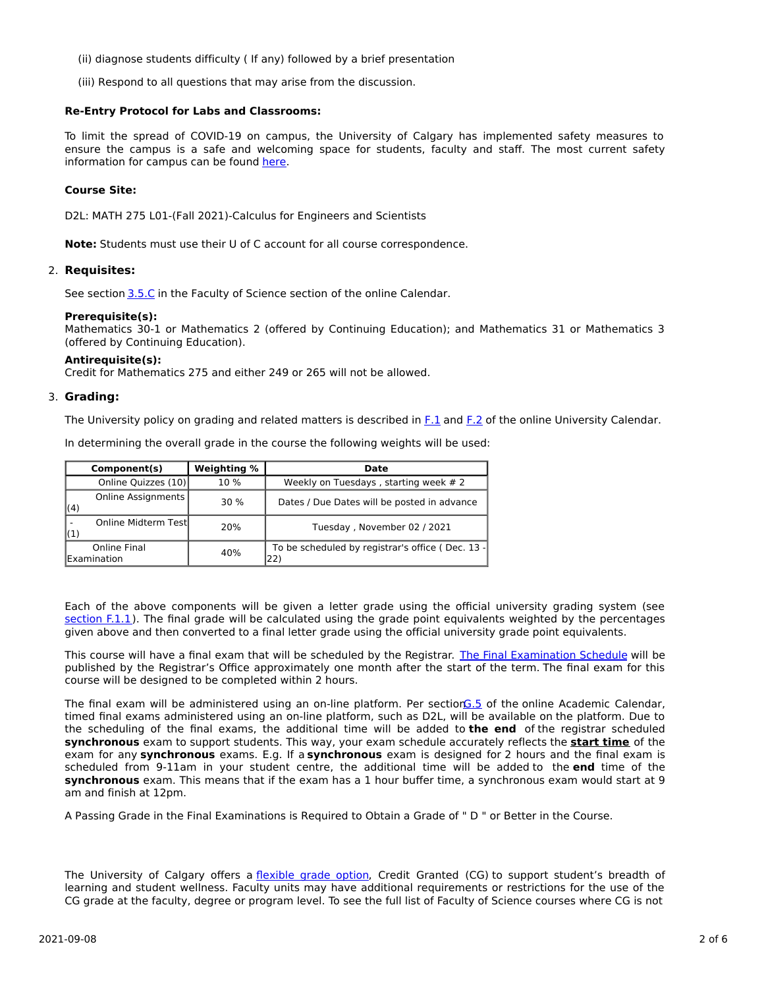- (ii) diagnose students difficulty ( If any) followed by a brief presentation
- (iii) Respond to all questions that may arise from the discussion.

### **Re-Entry Protocol for Labs and Classrooms:**

To limit the spread of COVID-19 on campus, the University of Calgary has implemented safety measures to ensure the campus is a safe and welcoming space for students, faculty and staff. The most current safety information for campus can be found [here](https://www.ucalgary.ca/risk/emergency-management/covid-19-response/return-campus-safety).

### **Course Site:**

D2L: MATH 275 L01-(Fall 2021)-Calculus for Engineers and Scientists

**Note:** Students must use their U of C account for all course correspondence.

### 2. **Requisites:**

See section [3.5.C](http://www.ucalgary.ca/pubs/calendar/current/sc-3-5.html) in the Faculty of Science section of the online Calendar.

### **Prerequisite(s):**

Mathematics 30-1 or Mathematics 2 (offered by Continuing Education); and Mathematics 31 or Mathematics 3 (offered by Continuing Education).

### **Antirequisite(s):**

Credit for Mathematics 275 and either 249 or 265 will not be allowed.

### 3. **Grading:**

The University policy on grading and related matters is described in [F.1](http://www.ucalgary.ca/pubs/calendar/current/f-1.html) and [F.2](http://www.ucalgary.ca/pubs/calendar/current/f-2.html) of the online University Calendar.

In determining the overall grade in the course the following weights will be used:

|                                     | Component(s)         | Weighting % | Date                                                    |
|-------------------------------------|----------------------|-------------|---------------------------------------------------------|
|                                     | Online Quizzes (10)  | 10%         | Weekly on Tuesdays, starting week # 2                   |
| (4)                                 | Online Assignments   | 30%         | Dates / Due Dates will be posted in advance             |
| (1)                                 | Online Midterm Testl | 20%         | Tuesday, November 02 / 2021                             |
| Online Final<br><b>IExamination</b> |                      | 40%         | To be scheduled by registrar's office (Dec. 13 -<br>22) |

Each of the above components will be given a letter grade using the official university grading system (see [section](https://www.ucalgary.ca/pubs/calendar/current/f-1-1.html) F.1.1). The final grade will be calculated using the grade point equivalents weighted by the percentages given above and then converted to a final letter grade using the official university grade point equivalents.

This course will have a final exam that will be scheduled by the Registrar. The Final [Examination](https://www.ucalgary.ca/registrar/exams) Schedule will be published by the Registrar's Office approximately one month after the start of the term. The final exam for this course will be designed to be completed within 2 hours.

The final exam will be administered using an on-line platform. Per sectio[nG.5](https://www.ucalgary.ca/pubs/calendar/current/g-5.html) of the online Academic Calendar, timed final exams administered using an on-line platform, such as D2L, will be available on the platform. Due to the scheduling of the final exams, the additional time will be added to **the end** of the registrar scheduled **synchronous** exam to support students. This way, your exam schedule accurately reflects the **start time** of the exam for any **synchronous** exams. E.g. If a **synchronous** exam is designed for 2 hours and the final exam is scheduled from 9-11am in your student centre, the additional time will be added to the **end** time of the **synchronous** exam. This means that if the exam has a 1 hour buffer time, a synchronous exam would start at 9 am and finish at 12pm.

A Passing Grade in the Final Examinations is Required to Obtain a Grade of " D " or Better in the Course.

The University of Calgary offers a [flexible](https://www.ucalgary.ca/pubs/calendar/current/f-1-3.html) grade option, Credit Granted (CG) to support student's breadth of learning and student wellness. Faculty units may have additional requirements or restrictions for the use of the CG grade at the faculty, degree or program level. To see the full list of Faculty of Science courses where CG is not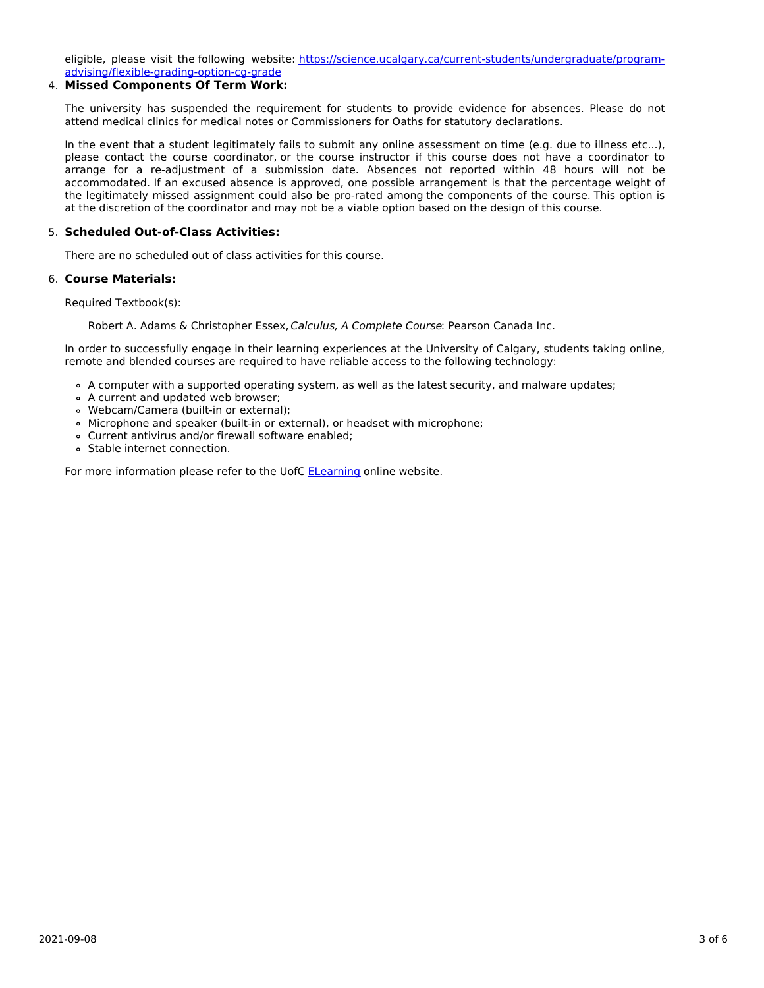eligible, please visit the following website: [https://science.ucalgary.ca/current-students/undergraduate/program](https://science.ucalgary.ca/current-students/undergraduate/program-advising/flexible-grading-option-cg-grade)advising/flexible-grading-option-cg-grade

## 4. **Missed Components Of Term Work:**

The university has suspended the requirement for students to provide evidence for absences. Please do not attend medical clinics for medical notes or Commissioners for Oaths for statutory declarations.

In the event that a student legitimately fails to submit any online assessment on time (e.g. due to illness etc...), please contact the course coordinator, or the course instructor if this course does not have a coordinator to arrange for a re-adjustment of a submission date. Absences not reported within 48 hours will not be accommodated. If an excused absence is approved, one possible arrangement is that the percentage weight of the legitimately missed assignment could also be pro-rated among the components of the course. This option is at the discretion of the coordinator and may not be a viable option based on the design of this course.

## 5. **Scheduled Out-of-Class Activities:**

There are no scheduled out of class activities for this course.

## 6. **Course Materials:**

Required Textbook(s):

Robert A. Adams & Christopher Essex, Calculus, A Complete Course: Pearson Canada Inc.

In order to successfully engage in their learning experiences at the University of Calgary, students taking online, remote and blended courses are required to have reliable access to the following technology:

- A computer with a supported operating system, as well as the latest security, and malware updates;
- A current and updated web browser;
- Webcam/Camera (built-in or external);
- Microphone and speaker (built-in or external), or headset with microphone;
- Current antivirus and/or firewall software enabled;
- Stable internet connection.

For more information please refer to the UofC [ELearning](https://elearn.ucalgary.ca/technology-requirements-for-students) online website.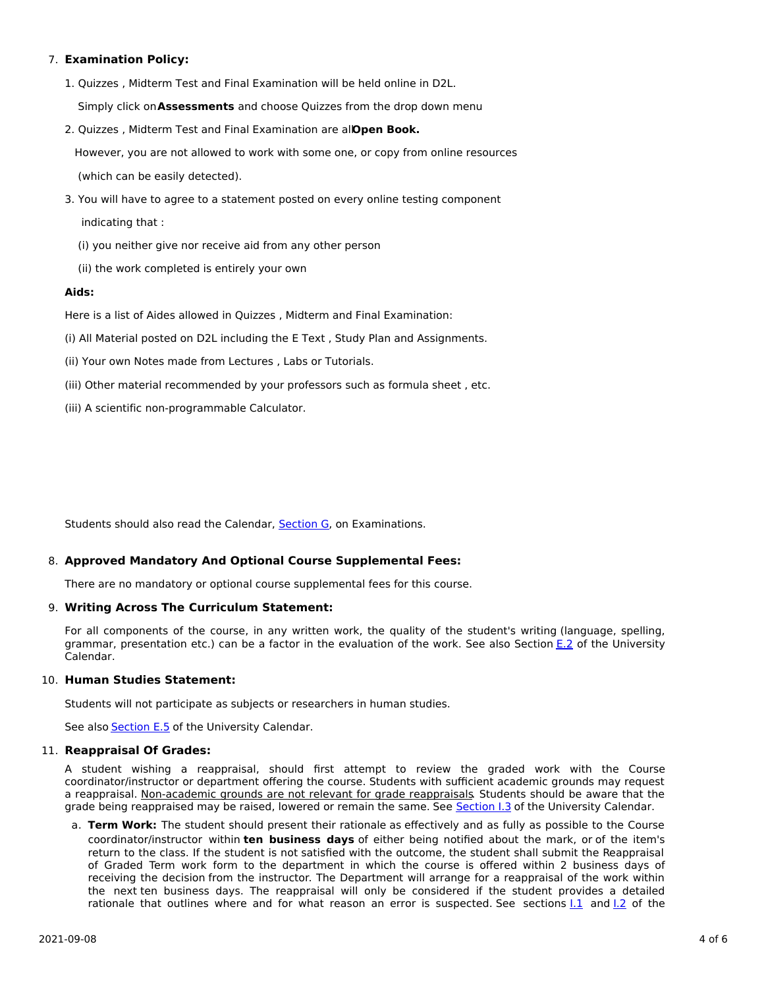## 7. **Examination Policy:**

1. Quizzes , Midterm Test and Final Examination will be held online in D2L.

Simply click on**Assessments** and choose Quizzes from the drop down menu

2. Quizzes , Midterm Test and Final Examination are all**Open Book.**

However, you are not allowed to work with some one, or copy from online resources (which can be easily detected).

- 3. You will have to agree to a statement posted on every online testing component indicating that :
	- (i) you neither give nor receive aid from any other person
	- (ii) the work completed is entirely your own

### **Aids:**

Here is a list of Aides allowed in Quizzes , Midterm and Final Examination:

- (i) All Material posted on D2L including the E Text , Study Plan and Assignments.
- (ii) Your own Notes made from Lectures , Labs or Tutorials.
- (iii) Other material recommended by your professors such as formula sheet , etc.
- (iii) A scientific non-programmable Calculator.

Students should also read the Calendar, [Section](http://www.ucalgary.ca/pubs/calendar/current/g.html) G, on Examinations.

## 8. **Approved Mandatory And Optional Course Supplemental Fees:**

There are no mandatory or optional course supplemental fees for this course.

## 9. **Writing Across The Curriculum Statement:**

For all components of the course, in any written work, the quality of the student's writing (language, spelling, grammar, presentation etc.) can be a factor in the evaluation of the work. See also Section [E.2](http://www.ucalgary.ca/pubs/calendar/current/e-2.html) of the University Calendar.

### 10. **Human Studies Statement:**

Students will not participate as subjects or researchers in human studies.

See also **[Section](http://www.ucalgary.ca/pubs/calendar/current/e-5.html) E.5** of the University Calendar.

#### 11. **Reappraisal Of Grades:**

A student wishing a reappraisal, should first attempt to review the graded work with the Course coordinator/instructor or department offering the course. Students with sufficient academic grounds may request a reappraisal. Non-academic grounds are not relevant for grade reappraisals. Students should be aware that the grade being reappraised may be raised, lowered or remain the same. See [Section](http://www.ucalgary.ca/pubs/calendar/current/i-3.html) I.3 of the University Calendar.

a. **Term Work:** The student should present their rationale as effectively and as fully as possible to the Course coordinator/instructor within **ten business days** of either being notified about the mark, or of the item's return to the class. If the student is not satisfied with the outcome, the student shall submit the Reappraisal of Graded Term work form to the department in which the course is offered within 2 business days of receiving the decision from the instructor. The Department will arrange for a reappraisal of the work within the next ten business days. The reappraisal will only be considered if the student provides a detailed rationale that outlines where and for what reason an error is suspected. See sections 1.1 and 1.2 of the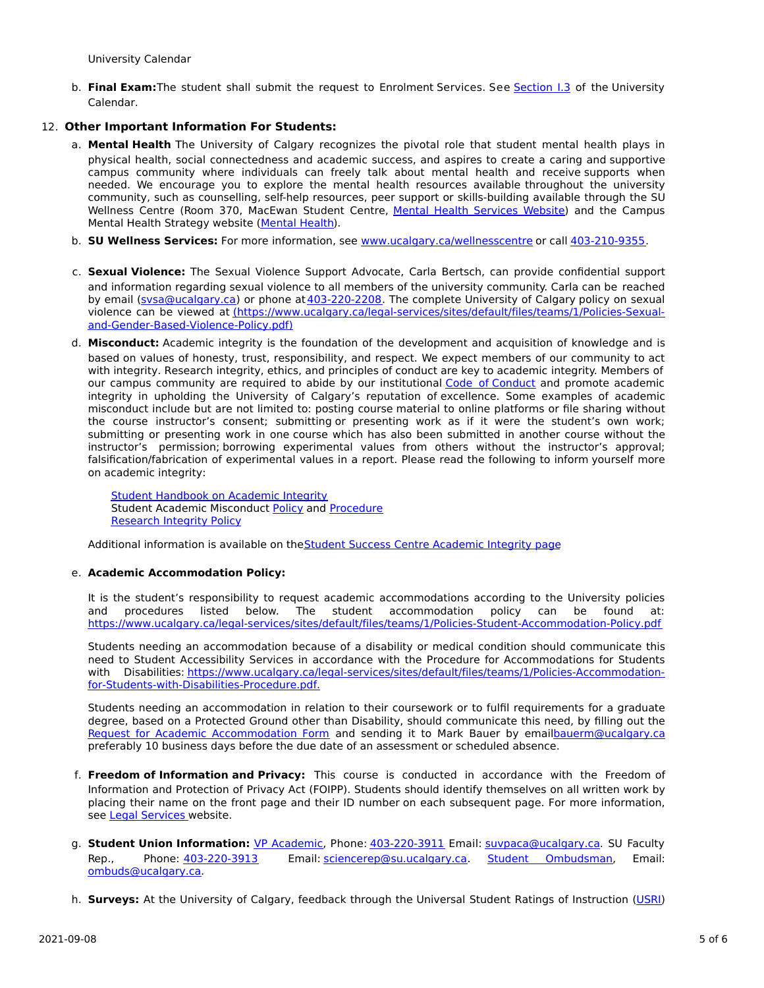University Calendar

b. **Final Exam:**The student shall submit the request to Enrolment Services. See [Section](http://www.ucalgary.ca/pubs/calendar/current/i-3.html) I.3 of the University Calendar.

## 12. **Other Important Information For Students:**

- a. **Mental Health** The University of Calgary recognizes the pivotal role that student mental health plays in physical health, social connectedness and academic success, and aspires to create a caring and supportive campus community where individuals can freely talk about mental health and receive supports when needed. We encourage you to explore the mental health resources available throughout the university community, such as counselling, self-help resources, peer support or skills-building available through the SU Wellness Centre (Room 370, MacEwan Student Centre, Mental Health [Services](https://www.ucalgary.ca/wellnesscentre/services/mental-health-services) Website) and the Campus Mental Health Strategy website [\(Mental](http://www.ucalgary.ca/mentalhealth) Health).
- b. **SU Wellness Services:** For more information, see [www.ucalgary.ca/wellnesscentre](http://www.ucalgary.ca/wellnesscentre) or call [403-210-9355.](tel:4032109355)
- c. **Sexual Violence:** The Sexual Violence Support Advocate, Carla Bertsch, can provide confidential support and information regarding sexual violence to all members of the university community. Carla can be reached by email [\(svsa@ucalgary.ca](mailto:svsa@ucalgary.ca)) or phone at[403-220-2208](tel:4032202208). The complete University of Calgary policy on sexual violence can be viewed at [\(https://www.ucalgary.ca/legal-services/sites/default/files/teams/1/Policies-Sexual](https://www.ucalgary.ca/legal-services/sites/default/files/teams/1/Policies-Sexual-and-Gender-Based-Violence-Policy.pdf)and-Gender-Based-Violence-Policy.pdf)
- d. **Misconduct:** Academic integrity is the foundation of the development and acquisition of knowledge and is based on values of honesty, trust, responsibility, and respect. We expect members of our community to act with integrity. Research integrity, ethics, and principles of conduct are key to academic integrity. Members of our campus community are required to abide by our institutional Code of [Conduct](https://www.ucalgary.ca/legal-services/sites/default/files/teams/1/Policies-Code-of-Conduct.pdf) and promote academic integrity in upholding the University of Calgary's reputation of excellence. Some examples of academic misconduct include but are not limited to: posting course material to online platforms or file sharing without the course instructor's consent; submitting or presenting work as if it were the student's own work; submitting or presenting work in one course which has also been submitted in another course without the instructor's permission; borrowing experimental values from others without the instructor's approval; falsification/fabrication of experimental values in a report. Please read the following to inform yourself more on academic integrity:

Student [Handbook](https://www.ucalgary.ca/live-uc-ucalgary-site/sites/default/files/teams/9/AI-Student-handbook-1.pdf) on Academic Integrity Student Academic Misconduct [Policy](https://www.ucalgary.ca/legal-services/sites/default/files/teams/1/Policies-Student-Academic-Misconduct-Policy.pdf) and [Procedure](https://www.ucalgary.ca/legal-services/sites/default/files/teams/1/Policies-Student-Academic-Misconduct-Procedure.pdf) [Research](https://www.ucalgary.ca/legal-services/sites/default/files/teams/1/Policies-Research-Integrity-Policy.pdf) Integrity Policy

Additional information is available on theStudent Success Centre [Academic](https://ucalgary.ca/student-services/student-success/learning/academic-integrity) Integrity page

## e. **Academic Accommodation Policy:**

It is the student's responsibility to request academic accommodations according to the University policies and procedures listed below. The student accommodation policy can be found at: <https://www.ucalgary.ca/legal-services/sites/default/files/teams/1/Policies-Student-Accommodation-Policy.pdf>

Students needing an accommodation because of a disability or medical condition should communicate this need to Student Accessibility Services in accordance with the Procedure for Accommodations for Students with Disabilities: [https://www.ucalgary.ca/legal-services/sites/default/files/teams/1/Policies-Accommodation](https://www.ucalgary.ca/legal-services/sites/default/files/teams/1/Policies-Accommodation-for-Students-with-Disabilities-Procedure.pdf)for-Students-with-Disabilities-Procedure.pdf.

Students needing an accommodation in relation to their coursework or to fulfil requirements for a graduate degree, based on a Protected Ground other than Disability, should communicate this need, by filling out the Request for Academic [Accommodation](https://science.ucalgary.ca/sites/default/files/teams/1/request-accommodation-academic-courses.pdf) Form and sending it to Mark Bauer by emai[lbauerm@ucalgary.ca](mailto:bauerm@ucalgary.ca) preferably 10 business days before the due date of an assessment or scheduled absence.

- f. **Freedom of Information and Privacy:** This course is conducted in accordance with the Freedom of Information and Protection of Privacy Act (FOIPP). Students should identify themselves on all written work by placing their name on the front page and their ID number on each subsequent page. For more information, see Legal [Services](https://www.ucalgary.ca/legal-services/access-information-privacy) website.
- g. **Student Union Information:** VP [Academic](http://www.su.ucalgary.ca/contact), Phone: [403-220-3911](tel:4032203911) Email: [suvpaca@ucalgary.ca](mailto:suvpaca@ucalgary.ca). SU Faculty Rep., Phone: [403-220-3913](tel:4032203913) Email: [sciencerep@su.ucalgary.ca](mailto:sciencerep@su.ucalgary.ca). Student [Ombudsman](https://www.ucalgary.ca/ombuds/), Email: [ombuds@ucalgary.ca](mailto:%20ombuds@ucalgary.ca).
- h. **Surveys:** At the University of Calgary, feedback through the Universal Student Ratings of Instruction [\(USRI](http://www.ucalgary.ca/usri))